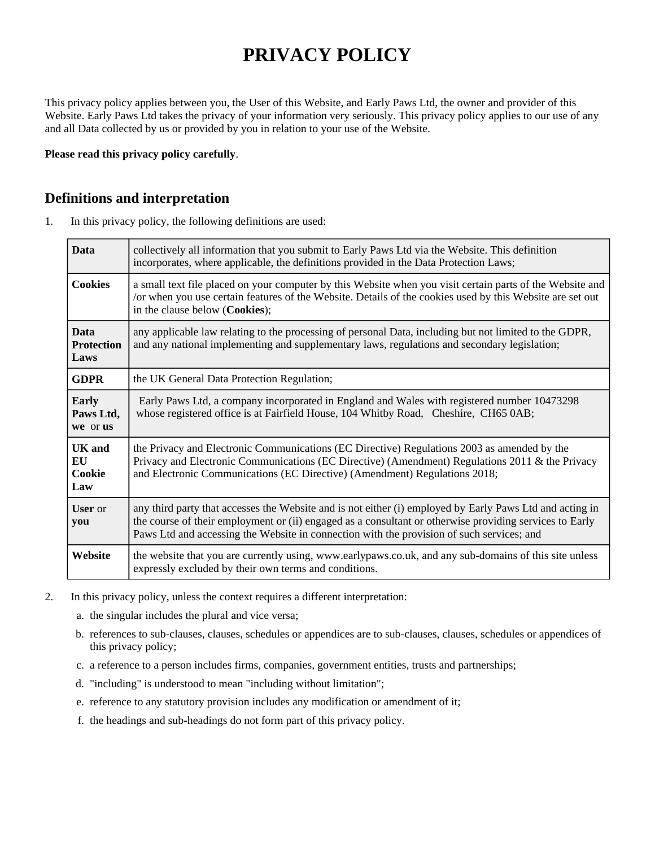# **PRIVACY POLICY**

This privacy policy applies between you, the User of this Website, and Early Paws Ltd, the owner and provider of this Website. Early Paws Ltd takes the privacy of your information very seriously. This privacy policy applies to our use of any and all Data collected by us or provided by you in relation to your use of the Website.

**Please read this privacy policy carefully**.

## **Definitions and interpretation**

1. In this privacy policy, the following definitions are used:

| <b>Data</b>                              | collectively all information that you submit to Early Paws Ltd via the Website. This definition<br>incorporates, where applicable, the definitions provided in the Data Protection Laws;                                                                                                                         |
|------------------------------------------|------------------------------------------------------------------------------------------------------------------------------------------------------------------------------------------------------------------------------------------------------------------------------------------------------------------|
| <b>Cookies</b>                           | a small text file placed on your computer by this Website when you visit certain parts of the Website and<br>or when you use certain features of the Website. Details of the cookies used by this Website are set out<br>in the clause below (Cookies);                                                          |
| <b>Data</b><br><b>Protection</b><br>Laws | any applicable law relating to the processing of personal Data, including but not limited to the GDPR,<br>and any national implementing and supplementary laws, regulations and secondary legislation;                                                                                                           |
| <b>GDPR</b>                              | the UK General Data Protection Regulation;                                                                                                                                                                                                                                                                       |
| <b>Early</b><br>Paws Ltd,<br>we or us    | Early Paws Ltd, a company incorporated in England and Wales with registered number 10473298<br>whose registered office is at Fairfield House, 104 Whitby Road, Cheshire, CH65 0AB;                                                                                                                               |
| <b>UK</b> and<br>EU<br>Cookie<br>Law     | the Privacy and Electronic Communications (EC Directive) Regulations 2003 as amended by the<br>Privacy and Electronic Communications (EC Directive) (Amendment) Regulations 2011 & the Privacy<br>and Electronic Communications (EC Directive) (Amendment) Regulations 2018;                                     |
| <b>User</b> or<br>you                    | any third party that accesses the Website and is not either (i) employed by Early Paws Ltd and acting in<br>the course of their employment or (ii) engaged as a consultant or otherwise providing services to Early<br>Paws Ltd and accessing the Website in connection with the provision of such services; and |
| Website                                  | the website that you are currently using, www.earlypaws.co.uk, and any sub-domains of this site unless<br>expressly excluded by their own terms and conditions.                                                                                                                                                  |

- 2. In this privacy policy, unless the context requires a different interpretation:
	- a. the singular includes the plural and vice versa;
	- b. references to sub-clauses, clauses, schedules or appendices are to sub-clauses, clauses, schedules or appendices of this privacy policy;
	- c. a reference to a person includes firms, companies, government entities, trusts and partnerships;
	- d. "including" is understood to mean "including without limitation";
	- e. reference to any statutory provision includes any modification or amendment of it;
	- f. the headings and sub-headings do not form part of this privacy policy.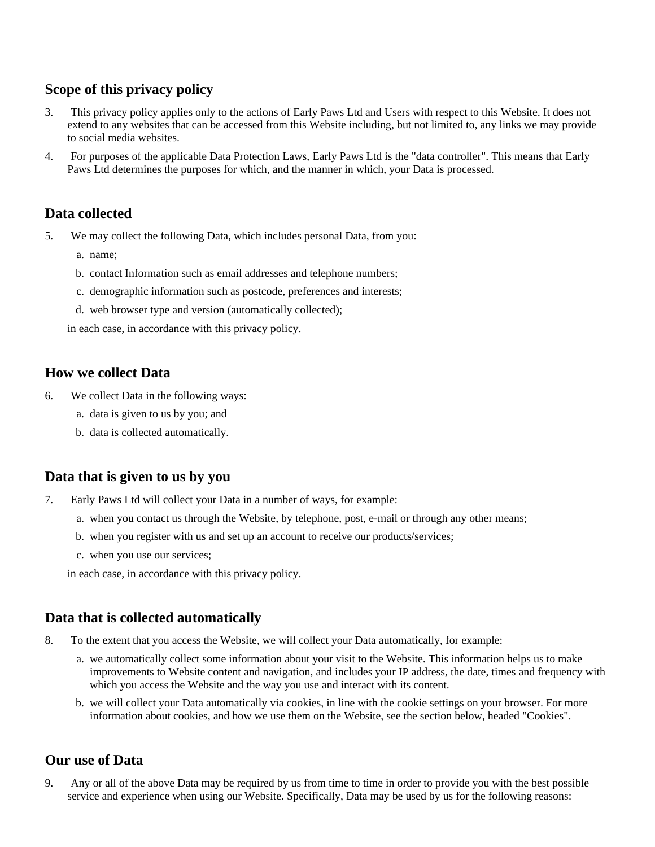## **Scope of this privacy policy**

- 3. This privacy policy applies only to the actions of Early Paws Ltd and Users with respect to this Website. It does not extend to any websites that can be accessed from this Website including, but not limited to, any links we may provide to social media websites.
- 4. For purposes of the applicable Data Protection Laws, Early Paws Ltd is the "data controller". This means that Early Paws Ltd determines the purposes for which, and the manner in which, your Data is processed.

## **Data collected**

- 5. We may collect the following Data, which includes personal Data, from you:
	- a. name;
	- b. contact Information such as email addresses and telephone numbers;
	- c. demographic information such as postcode, preferences and interests;
	- d. web browser type and version (automatically collected);

in each case, in accordance with this privacy policy.

## **How we collect Data**

- 6. We collect Data in the following ways:
	- a. data is given to us by you; and
	- b. data is collected automatically.

#### **Data that is given to us by you**

- 7. Early Paws Ltd will collect your Data in a number of ways, for example:
	- a. when you contact us through the Website, by telephone, post, e-mail or through any other means;
	- b. when you register with us and set up an account to receive our products/services;
	- c. when you use our services;

in each case, in accordance with this privacy policy.

## **Data that is collected automatically**

- 8. To the extent that you access the Website, we will collect your Data automatically, for example:
	- a. we automatically collect some information about your visit to the Website. This information helps us to make improvements to Website content and navigation, and includes your IP address, the date, times and frequency with which you access the Website and the way you use and interact with its content.
	- b. we will collect your Data automatically via cookies, in line with the cookie settings on your browser. For more information about cookies, and how we use them on the Website, see the section below, headed "Cookies".

## **Our use of Data**

9. Any or all of the above Data may be required by us from time to time in order to provide you with the best possible service and experience when using our Website. Specifically, Data may be used by us for the following reasons: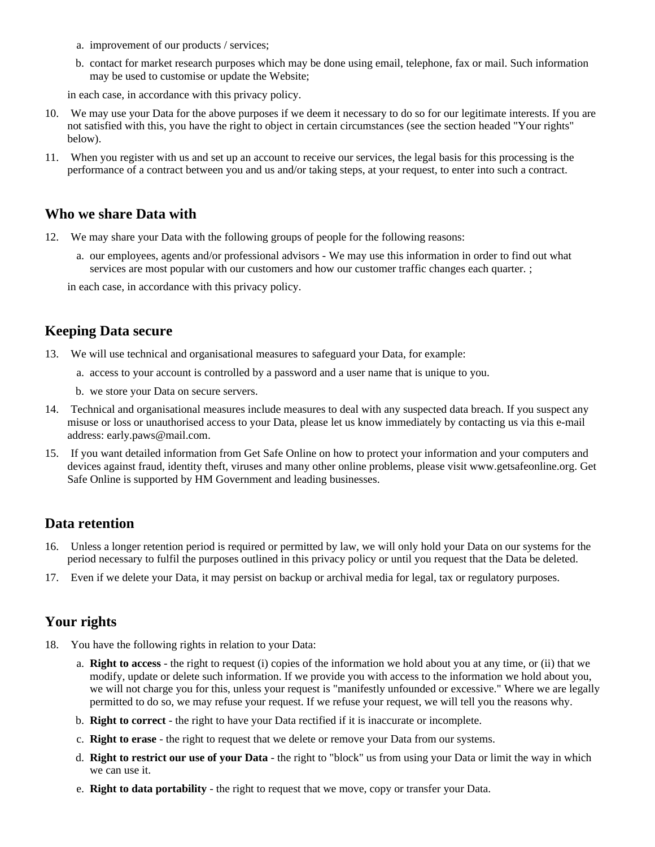- a. improvement of our products / services;
- b. contact for market research purposes which may be done using email, telephone, fax or mail. Such information may be used to customise or update the Website;

in each case, in accordance with this privacy policy.

- 10. We may use your Data for the above purposes if we deem it necessary to do so for our legitimate interests. If you are not satisfied with this, you have the right to object in certain circumstances (see the section headed "Your rights" below).
- 11. When you register with us and set up an account to receive our services, the legal basis for this processing is the performance of a contract between you and us and/or taking steps, at your request, to enter into such a contract.

#### **Who we share Data with**

- 12. We may share your Data with the following groups of people for the following reasons:
	- a. our employees, agents and/or professional advisors We may use this information in order to find out what services are most popular with our customers and how our customer traffic changes each quarter. ;

in each case, in accordance with this privacy policy.

#### **Keeping Data secure**

- 13. We will use technical and organisational measures to safeguard your Data, for example:
	- a. access to your account is controlled by a password and a user name that is unique to you.
	- b. we store your Data on secure servers.
- 14. Technical and organisational measures include measures to deal with any suspected data breach. If you suspect any misuse or loss or unauthorised access to your Data, please let us know immediately by contacting us via this e-mail address: early.paws@mail.com.
- 15. If you want detailed information from Get Safe Online on how to protect your information and your computers and devices against fraud, identity theft, viruses and many other online problems, please visit www.getsafeonline.org. Get Safe Online is supported by HM Government and leading businesses.

#### **Data retention**

- 16. Unless a longer retention period is required or permitted by law, we will only hold your Data on our systems for the period necessary to fulfil the purposes outlined in this privacy policy or until you request that the Data be deleted.
- 17. Even if we delete your Data, it may persist on backup or archival media for legal, tax or regulatory purposes.

#### **Your rights**

- 18. You have the following rights in relation to your Data:
	- a. **Right to access** the right to request (i) copies of the information we hold about you at any time, or (ii) that we modify, update or delete such information. If we provide you with access to the information we hold about you, we will not charge you for this, unless your request is "manifestly unfounded or excessive." Where we are legally permitted to do so, we may refuse your request. If we refuse your request, we will tell you the reasons why.
	- b. **Right to correct** the right to have your Data rectified if it is inaccurate or incomplete.
	- c. **Right to erase** the right to request that we delete or remove your Data from our systems.
	- d. **Right to restrict our use of your Data** the right to "block" us from using your Data or limit the way in which we can use it.
	- e. **Right to data portability** the right to request that we move, copy or transfer your Data.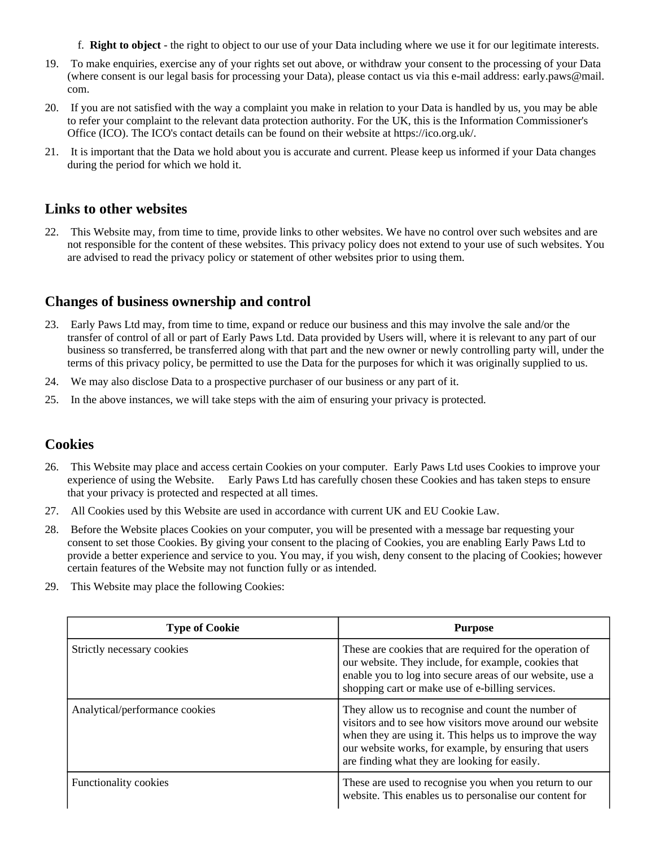- f. **Right to object** the right to object to our use of your Data including where we use it for our legitimate interests.
- 19. To make enquiries, exercise any of your rights set out above, or withdraw your consent to the processing of your Data (where consent is our legal basis for processing your Data), please contact us via this e-mail address: early.paws@mail. com.
- 20. If you are not satisfied with the way a complaint you make in relation to your Data is handled by us, you may be able to refer your complaint to the relevant data protection authority. For the UK, this is the Information Commissioner's Office (ICO). The ICO's contact details can be found on their website at https://ico.org.uk/.
- 21. It is important that the Data we hold about you is accurate and current. Please keep us informed if your Data changes during the period for which we hold it.

#### **Links to other websites**

22. This Website may, from time to time, provide links to other websites. We have no control over such websites and are not responsible for the content of these websites. This privacy policy does not extend to your use of such websites. You are advised to read the privacy policy or statement of other websites prior to using them.

## **Changes of business ownership and control**

- 23. Early Paws Ltd may, from time to time, expand or reduce our business and this may involve the sale and/or the transfer of control of all or part of Early Paws Ltd. Data provided by Users will, where it is relevant to any part of our business so transferred, be transferred along with that part and the new owner or newly controlling party will, under the terms of this privacy policy, be permitted to use the Data for the purposes for which it was originally supplied to us.
- 24. We may also disclose Data to a prospective purchaser of our business or any part of it.
- 25. In the above instances, we will take steps with the aim of ensuring your privacy is protected.

#### **Cookies**

- 26. This Website may place and access certain Cookies on your computer. Early Paws Ltd uses Cookies to improve your experience of using the Website. Early Paws Ltd has carefully chosen these Cookies and has taken steps to ensure that your privacy is protected and respected at all times.
- 27. All Cookies used by this Website are used in accordance with current UK and EU Cookie Law.
- 28. Before the Website places Cookies on your computer, you will be presented with a message bar requesting your consent to set those Cookies. By giving your consent to the placing of Cookies, you are enabling Early Paws Ltd to provide a better experience and service to you. You may, if you wish, deny consent to the placing of Cookies; however certain features of the Website may not function fully or as intended.
- 29. This Website may place the following Cookies:

| <b>Type of Cookie</b>          | <b>Purpose</b>                                                                                                                                                                                                                                                                        |
|--------------------------------|---------------------------------------------------------------------------------------------------------------------------------------------------------------------------------------------------------------------------------------------------------------------------------------|
| Strictly necessary cookies     | These are cookies that are required for the operation of<br>our website. They include, for example, cookies that<br>enable you to log into secure areas of our website, use a<br>shopping cart or make use of e-billing services.                                                     |
| Analytical/performance cookies | They allow us to recognise and count the number of<br>visitors and to see how visitors move around our website<br>when they are using it. This helps us to improve the way<br>our website works, for example, by ensuring that users<br>are finding what they are looking for easily. |
| <b>Functionality cookies</b>   | These are used to recognise you when you return to our<br>website. This enables us to personalise our content for                                                                                                                                                                     |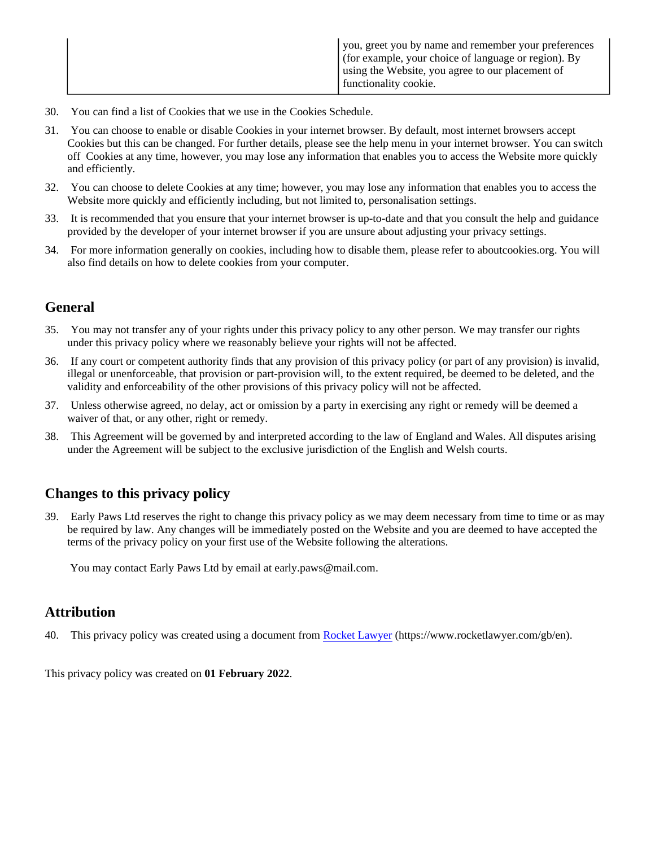| you, greet you by name and remember your preferences<br>for example, your choice of language or region). By<br>using the Website, you agree to our placement of<br>functionality cookie. |
|------------------------------------------------------------------------------------------------------------------------------------------------------------------------------------------|
|                                                                                                                                                                                          |

- 30. You can find a list of Cookies that we use in the Cookies Schedule.
- 31. You can choose to enable or disable Cookies in your internet browser. By default, most internet browsers accept Cookies but this can be changed. For further details, please see the help menu in your internet browser. You can switch off Cookies at any time, however, you may lose any information that enables you to access the Website more quickly and efficiently.
- 32. You can choose to delete Cookies at any time; however, you may lose any information that enables you to access the Website more quickly and efficiently including, but not limited to, personalisation settings.
- 33. It is recommended that you ensure that your internet browser is up-to-date and that you consult the help and guidance provided by the developer of your internet browser if you are unsure about adjusting your privacy settings.
- 34. For more information generally on cookies, including how to disable them, please refer to aboutcookies.org. You will also find details on how to delete cookies from your computer.

## **General**

- 35. You may not transfer any of your rights under this privacy policy to any other person. We may transfer our rights under this privacy policy where we reasonably believe your rights will not be affected.
- 36. If any court or competent authority finds that any provision of this privacy policy (or part of any provision) is invalid, illegal or unenforceable, that provision or part-provision will, to the extent required, be deemed to be deleted, and the validity and enforceability of the other provisions of this privacy policy will not be affected.
- 37. Unless otherwise agreed, no delay, act or omission by a party in exercising any right or remedy will be deemed a waiver of that, or any other, right or remedy.
- 38. This Agreement will be governed by and interpreted according to the law of England and Wales. All disputes arising under the Agreement will be subject to the exclusive jurisdiction of the English and Welsh courts.

# **Changes to this privacy policy**

39. Early Paws Ltd reserves the right to change this privacy policy as we may deem necessary from time to time or as may be required by law. Any changes will be immediately posted on the Website and you are deemed to have accepted the terms of the privacy policy on your first use of the Website following the alterations.

You may contact Early Paws Ltd by email at early.paws@mail.com.

#### **Attribution**

40. This privacy policy was created using a document from [Rocket Lawyer](https://www.rocketlawyer.com/gb/en/) (https://www.rocketlawyer.com/gb/en).

This privacy policy was created on **01 February 2022**.